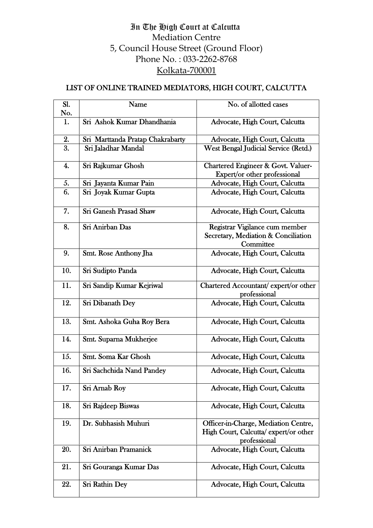## In The High Court at Calcutta Mediation Centre 5, Council House Street (Ground Floor) Phone No. : 033-2262-8768 Kolkata-700001

## LIST OF ONLINE TRAINED MEDIATORS, HIGH COURT, CALCUTTA

| Sl. | Name                             | No. of allotted cases                                                                        |
|-----|----------------------------------|----------------------------------------------------------------------------------------------|
| No. |                                  |                                                                                              |
| 1.  | Sri Ashok Kumar Dhandhania       | Advocate, High Court, Calcutta                                                               |
| 2.  | Sri Marttanda Pratap Chakrabarty | Advocate, High Court, Calcutta                                                               |
| 3.  | Sri Jaladhar Mandal              | <b>West Bengal Judicial Service (Retd.)</b>                                                  |
| 4.  | Sri Rajkumar Ghosh               | <b>Chartered Engineer &amp; Govt. Valuer-</b><br>Expert/or other professional                |
| 5.  | Sri Jayanta Kumar Pain           | Advocate, High Court, Calcutta                                                               |
| 6.  | Sri Joyak Kumar Gupta            | Advocate, High Court, Calcutta                                                               |
| 7.  | <b>Sri Ganesh Prasad Shaw</b>    | Advocate, High Court, Calcutta                                                               |
| 8.  | Sri Anirban Das                  | Registrar Vigilance cum member<br>Secretary, Mediation & Conciliation<br>Committee           |
| 9.  | Smt. Rose Anthony Jha            | Advocate, High Court, Calcutta                                                               |
| 10. | Sri Sudipto Panda                | Advocate, High Court, Calcutta                                                               |
| 11. | Sri Sandip Kumar Kejriwal        | Chartered Accountant/expert/or other<br>professional                                         |
| 12. | Sri Dibanath Dey                 | Advocate, High Court, Calcutta                                                               |
| 13. | Smt. Ashoka Guha Roy Bera        | Advocate, High Court, Calcutta                                                               |
| 14. | Smt. Suparna Mukherjee           | Advocate, High Court, Calcutta                                                               |
| 15. | Smt. Soma Kar Ghosh              | Advocate, High Court, Calcutta                                                               |
| 16. | Sri Sachchida Nand Pandey        | Advocate, High Court, Calcutta                                                               |
| 17. | Sri Arnab Roy                    | Advocate, High Court, Calcutta                                                               |
| 18. | Sri Rajdeep Biswas               | Advocate, High Court, Calcutta                                                               |
| 19. | Dr. Subhasish Muhuri             | Officer-in-Charge, Mediation Centre,<br>High Court, Calcutta/expert/or other<br>professional |
| 20. | Sri Anirban Pramanick            | Advocate, High Court, Calcutta                                                               |
| 21. | Sri Gouranga Kumar Das           | Advocate, High Court, Calcutta                                                               |
| 22. | <b>Sri Rathin Dey</b>            | Advocate, High Court, Calcutta                                                               |